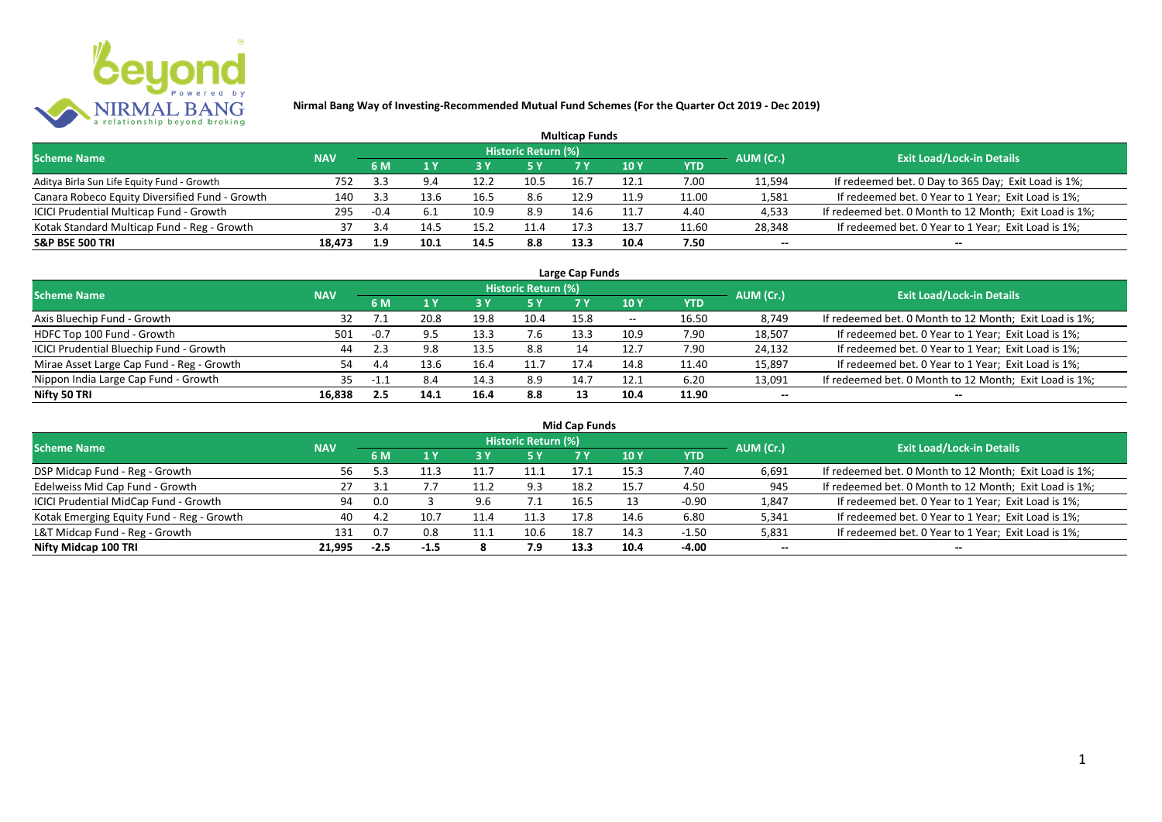

|                                                |            |        |      |      |                            | <b>Multicap Funds</b> |                 |            |           |                                                        |
|------------------------------------------------|------------|--------|------|------|----------------------------|-----------------------|-----------------|------------|-----------|--------------------------------------------------------|
| <b>Scheme Name</b>                             | <b>NAV</b> |        |      |      | <b>Historic Return (%)</b> |                       |                 |            | AUM (Cr.) | <b>Exit Load/Lock-in Details</b>                       |
|                                                |            | 6 M    |      | 73 Y |                            |                       | 10 <sub>Y</sub> | <b>YTD</b> |           |                                                        |
| Aditya Birla Sun Life Equity Fund - Growth     | 752        | 3.3    |      | 12.2 | 10.5                       | 16.7                  | 12.1            | 7.00       | 11,594    | If redeemed bet. 0 Day to 365 Day; Exit Load is 1%;    |
| Canara Robeco Equity Diversified Fund - Growth | 140        | -3.3   | 3 R  | 16.5 | 8.6                        | 12.9                  | 11.9            | 11.00      | 1,581     | If redeemed bet. 0 Year to 1 Year; Exit Load is 1%;    |
| ICICI Prudential Multicap Fund - Growth        | 295        | $-0.4$ |      | 10.9 | 8.9                        | 14.6                  | 11.1            | 4.40       | 4,533     | If redeemed bet. 0 Month to 12 Month; Exit Load is 1%; |
| Kotak Standard Multicap Fund - Reg - Growth    | 37         | 3.4    | 14.' | 15.2 | 11.4                       | 17.3                  | 13.7            | 11.60      | 28,348    | If redeemed bet. 0 Year to 1 Year; Exit Load is 1%;    |
| <b>S&amp;P BSE 500 TRI</b>                     | 18,473     | 1.9    | 10.1 | 14.5 | 8.8                        | 13.3                  | 10.4            | 7.50       | $- -$     | --                                                     |

| Large Cap Funds                           |            |             |      |      |                            |      |       |            |           |                                                        |  |  |  |
|-------------------------------------------|------------|-------------|------|------|----------------------------|------|-------|------------|-----------|--------------------------------------------------------|--|--|--|
| <b>Scheme Name</b>                        | <b>NAV</b> |             |      |      | <b>Historic Return (%)</b> |      |       |            | AUM (Cr.) | <b>Exit Load/Lock-in Details</b>                       |  |  |  |
|                                           |            | 6 M         |      |      | 5 Y                        |      | 10 Y  | <b>YTD</b> |           |                                                        |  |  |  |
| Axis Bluechip Fund - Growth               |            |             | 20.8 | 19.8 | 10.4                       | 15.8 | $- -$ | 16.50      | 8,749     | If redeemed bet. 0 Month to 12 Month; Exit Load is 1%; |  |  |  |
| HDFC Top 100 Fund - Growth                | 501        | $-0.7$      |      | 13.3 | 7.6                        | 13.3 | 10.9  | 7.90       | 18,507    | If redeemed bet. 0 Year to 1 Year; Exit Load is 1%;    |  |  |  |
| ICICI Prudential Bluechip Fund - Growth   | 44         |             | 9.8  | 13.5 | 8.8                        | 14   | 12.7  | 7.90       | 24,132    | If redeemed bet. 0 Year to 1 Year; Exit Load is 1%;    |  |  |  |
| Mirae Asset Large Cap Fund - Reg - Growth | 54         | 4.4         | 13.6 | 16.4 | 11.7                       | 17.4 | 14.8  | 11.40      | 15,897    | If redeemed bet. 0 Year to 1 Year; Exit Load is 1%;    |  |  |  |
| Nippon India Large Cap Fund - Growth      | 35.        | $-1$ $\sim$ | 8.4  | 14.3 | 8.9                        | 14.7 | 12.1  | 6.20       | 13,091    | If redeemed bet. 0 Month to 12 Month; Exit Load is 1%; |  |  |  |
| Nifty 50 TRI                              | 16,838     | 2.5         | 14.1 | 16.4 | 8.8                        | 13   | 10.4  | 11.90      | $- -$     | $- -$                                                  |  |  |  |

| <b>Mid Cap Funds</b>                      |            |        |      |      |                            |      |      |            |           |                                                        |  |  |  |
|-------------------------------------------|------------|--------|------|------|----------------------------|------|------|------------|-----------|--------------------------------------------------------|--|--|--|
| <b>Scheme Name</b>                        | <b>NAV</b> |        |      |      | <b>Historic Return (%)</b> |      |      |            | AUM (Cr.) | <b>Exit Load/Lock-in Details</b>                       |  |  |  |
|                                           |            | 6 M    |      |      | 5 Y                        | 7 Y  | 10 Y | <b>YTD</b> |           |                                                        |  |  |  |
| DSP Midcap Fund - Reg - Growth            | 56         |        |      | 11.  | 11.1                       | 17.1 | 15.3 | 7.40       | 6,691     | If redeemed bet. 0 Month to 12 Month; Exit Load is 1%; |  |  |  |
| Edelweiss Mid Cap Fund - Growth           | 27         |        |      |      | 9.3                        | 18.2 | 15.7 | 4.50       | 945       | If redeemed bet. 0 Month to 12 Month; Exit Load is 1%; |  |  |  |
| ICICI Prudential MidCap Fund - Growth     | 94         | 0.0    |      | 9.6  | 7. L                       | 16.5 | 13   | $-0.90$    | 1,847     | If redeemed bet. 0 Year to 1 Year; Exit Load is 1%;    |  |  |  |
| Kotak Emerging Equity Fund - Reg - Growth | 40         | 4.7    | 10.7 | 11.4 | 11.3                       | 17.8 | 14.6 | 6.80       | 5,341     | If redeemed bet. 0 Year to 1 Year; Exit Load is 1%;    |  |  |  |
| L&T Midcap Fund - Reg - Growth            | 131        | 0.7    | 0.8  | 11.1 | 10.6                       | 18.7 | 14.3 | $-1.50$    | 5,831     | If redeemed bet. 0 Year to 1 Year; Exit Load is 1%;    |  |  |  |
| Nifty Midcap 100 TRI                      | 21.995     | $-2.5$ | -1.5 |      | 7.9                        | 13.3 | 10.4 | -4.00      | $- -$     | $- -$                                                  |  |  |  |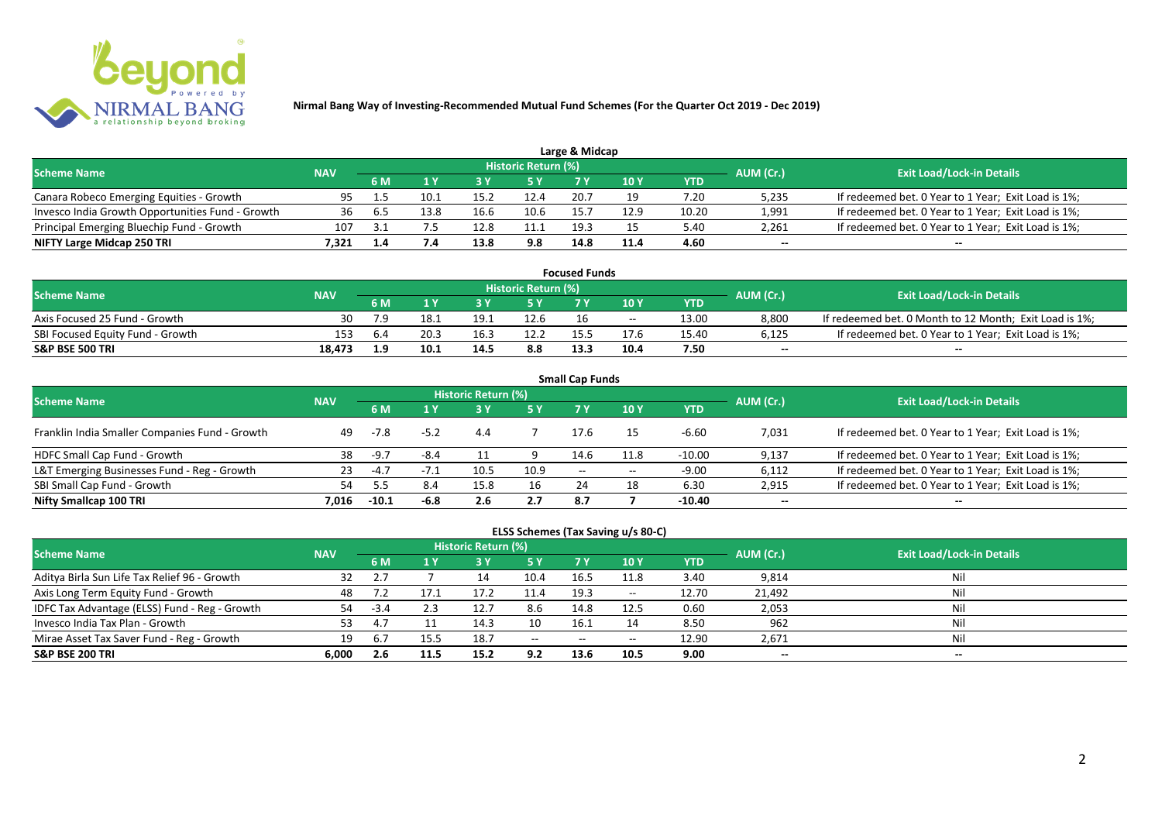

|                                                  |            |     |      |      |                            | Large & Midcap |               |       |           |                                                     |
|--------------------------------------------------|------------|-----|------|------|----------------------------|----------------|---------------|-------|-----------|-----------------------------------------------------|
| <b>Scheme Name</b>                               | <b>NAV</b> |     |      |      | <b>Historic Return (%)</b> |                |               |       | AUM (Cr.) | <b>Exit Load/Lock-in Details</b>                    |
|                                                  |            | 6 M |      |      | 5 Y                        |                | $\sqrt{10}$ Y | YTD   |           |                                                     |
| Canara Robeco Emerging Equities - Growth         | 95         |     | 10.1 | 15.2 | 12.4                       | 20.7           |               | 7.20  | 5,235     | If redeemed bet. 0 Year to 1 Year; Exit Load is 1%; |
| Invesco India Growth Opportunities Fund - Growth | 36         |     | 13.8 |      |                            |                | 12.9          | 10.20 | 1,991     | If redeemed bet. 0 Year to 1 Year; Exit Load is 1%; |
| Principal Emerging Bluechip Fund - Growth        | 107        |     |      | 12.8 |                            | 19.3           |               | 5.40  | 2,261     | If redeemed bet. 0 Year to 1 Year; Exit Load is 1%; |
| NIFTY Large Midcap 250 TRI                       | 7.321      |     |      | 13.8 | 9.8                        | 14.8           | 11.4          | 4.60  | $-$       | $- -$                                               |

| <b>Focused Funds</b>             |            |     |      |      |                     |      |       |       |           |                                                        |  |  |
|----------------------------------|------------|-----|------|------|---------------------|------|-------|-------|-----------|--------------------------------------------------------|--|--|
| <b>Scheme Name</b>               | <b>NAV</b> |     |      |      | Historic Return (%) |      |       |       | AUM (Cr.) | <b>Exit Load/Lock-in Details</b>                       |  |  |
|                                  |            | 6 M |      |      | 5 Y                 |      |       | YTD   |           |                                                        |  |  |
| Axis Focused 25 Fund - Growth    | 30         |     | 18.1 | 19.1 | 12.6                | 16   | $- -$ | 13.00 | 8,800     | If redeemed bet. 0 Month to 12 Month; Exit Load is 1%; |  |  |
| SBI Focused Equity Fund - Growth | 153        | 6.4 | 20.3 | 16.5 | 12.2                | 155  | 17.6  | 15.40 | 6,125     | If redeemed bet. 0 Year to 1 Year; Exit Load is 1%;    |  |  |
| <b>S&amp;P BSE 500 TRI</b>       | 18.473     | 19  | 10.1 | 14.5 | 8.8                 | 13.3 | 10.4  | 7.50  | $-$       | $- -$                                                  |  |  |

| <b>Small Cap Funds</b>                         |            |         |        |                     |      |                   |            |          |           |                                                     |  |  |  |
|------------------------------------------------|------------|---------|--------|---------------------|------|-------------------|------------|----------|-----------|-----------------------------------------------------|--|--|--|
| <b>Scheme Name</b>                             | <b>NAV</b> |         |        | Historic Return (%) |      |                   |            |          | AUM (Cr.) | <b>Exit Load/Lock-in Details</b>                    |  |  |  |
|                                                |            |         |        | <b>5Y</b>           | 7 V  | <b>10Y</b>        | <b>YTD</b> |          |           |                                                     |  |  |  |
| Franklin India Smaller Companies Fund - Growth | 49         | $-7.8$  | $-5.2$ | 4.4                 |      | 17.6              | 15         | $-6.60$  | 7,031     | If redeemed bet. 0 Year to 1 Year; Exit Load is 1%; |  |  |  |
| HDFC Small Cap Fund - Growth                   | 38         | $-9.7$  | $-8.4$ |                     |      | 14.6              | 11.8       | $-10.00$ | 9,137     | If redeemed bet. 0 Year to 1 Year; Exit Load is 1%; |  |  |  |
| L&T Emerging Businesses Fund - Reg - Growth    | 23         | $-4.7$  | $-1.1$ | 10.5                | 10.9 | $\hspace{0.05cm}$ | $- -$      | $-9.00$  | 6,112     | If redeemed bet. 0 Year to 1 Year; Exit Load is 1%; |  |  |  |
| SBI Small Cap Fund - Growth                    | 54         |         | 8.4    | 15.8                | 16   | 24                | 18         | 6.30     | 2,915     | If redeemed bet. 0 Year to 1 Year; Exit Load is 1%; |  |  |  |
| Nifty Smallcap 100 TRI                         | 7.016      | $-10.1$ | $-6.8$ | 2.6                 | 2.7  | 8.7               |            | $-10.40$ | $- -$     | --                                                  |  |  |  |

## **ELSS Schemes (Tax Saving u/s 80-C)**

| <b>Scheme Name</b>                            | <b>NAV</b> |             |      | <b>Historic Return (%)</b> |           |       |            |       | AUM (Cr.) | <b>Exit Load/Lock-in Details</b> |
|-----------------------------------------------|------------|-------------|------|----------------------------|-----------|-------|------------|-------|-----------|----------------------------------|
|                                               |            | 6 M         |      |                            | <b>5Y</b> | 7 Y   | <b>10Y</b> | YTD   |           |                                  |
| Aditya Birla Sun Life Tax Relief 96 - Growth  | 32         |             |      |                            | 10.4      | 16.5  | 11.8       | 3.40  | 9,814     | Nil                              |
| Axis Long Term Equity Fund - Growth           | 48         |             |      | 17.2                       | 11.4      | 19.3  | $- -$      | 12.70 | 21,492    | Nil                              |
| IDFC Tax Advantage (ELSS) Fund - Reg - Growth | 54         | $-3.4$      |      | 12.                        | 8.6       | 14.8  | 12.5       | 0.60  | 2,053     | Nil                              |
| Invesco India Tax Plan - Growth               | 53         | 4.          |      | 14.3                       | 10        | 16.1  |            | 8.50  | 962       | Nil                              |
| Mirae Asset Tax Saver Fund - Reg - Growth     | 19         | $b_{\cdot}$ |      | 18.7                       | $  \,$    | $- -$ | $- -$      | 12.90 | 2,671     | Nil                              |
| <b>S&amp;P BSE 200 TRI</b>                    | 6.000      | 2.6         | 11.5 | 15.2                       | 9.2       | 13.6  | 10.5       | 9.00  | $- -$     | $- -$                            |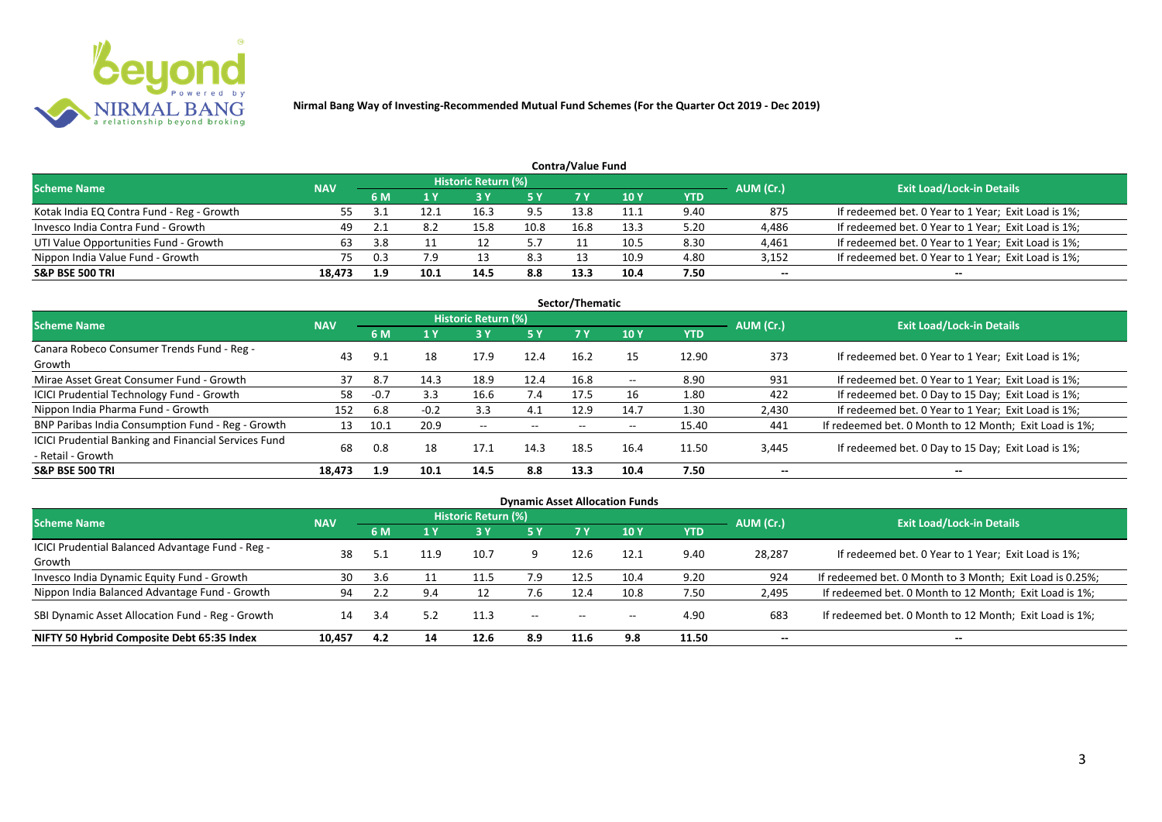

|                                           | Contra/Value Fund |     |      |                     |            |      |            |      |           |                                                     |  |  |  |  |
|-------------------------------------------|-------------------|-----|------|---------------------|------------|------|------------|------|-----------|-----------------------------------------------------|--|--|--|--|
| <b>Scheme Name</b>                        | <b>NAV</b>        |     |      | Historic Return (%) |            |      |            |      | AUM (Cr.) | <b>Exit Load/Lock-in Details</b>                    |  |  |  |  |
|                                           |                   | 6 M |      |                     | <b>5 Y</b> | 7 V  | <b>10Y</b> | YTD  |           |                                                     |  |  |  |  |
| Kotak India EQ Contra Fund - Reg - Growth |                   |     |      | 16.3                | 9.5        | 13.8 | 11.1       | 9.40 | 875       | If redeemed bet. 0 Year to 1 Year; Exit Load is 1%; |  |  |  |  |
| Invesco India Contra Fund - Growth        | 49                |     | 8.2  | 15.8                | 10.8       | 16.8 | 13.3       | 5.20 | 4,486     | If redeemed bet. 0 Year to 1 Year; Exit Load is 1%; |  |  |  |  |
| UTI Value Opportunities Fund - Growth     | 63                | 3.8 |      |                     | 57         |      | 10.5       | 8.30 | 4,461     | If redeemed bet. 0 Year to 1 Year; Exit Load is 1%; |  |  |  |  |
| Nippon India Value Fund - Growth          | 75                | 0.3 | 7.9  |                     | 8.3        |      | 10.9       | 4.80 | 3,152     | If redeemed bet. 0 Year to 1 Year; Exit Load is 1%; |  |  |  |  |
| <b>S&amp;P BSE 500 TRI</b>                | 18.473            | 1.9 | 10.1 | 14.5                | 8.8        | 13.3 | 10.4       | 7.50 | $- -$     | $- -$                                               |  |  |  |  |

| Sector/Thematic                                                                  |            |        |        |                            |           |      |       |            |                          |                                                        |  |  |  |  |
|----------------------------------------------------------------------------------|------------|--------|--------|----------------------------|-----------|------|-------|------------|--------------------------|--------------------------------------------------------|--|--|--|--|
| <b>Scheme Name</b>                                                               | <b>NAV</b> |        |        | <b>Historic Return (%)</b> |           |      |       |            | AUM (Cr.)                | <b>Exit Load/Lock-in Details</b>                       |  |  |  |  |
|                                                                                  |            | 6 M    | 1Y     | 3 Y                        | <b>5Y</b> | 7 Y  | 10Y   | <b>YTD</b> |                          |                                                        |  |  |  |  |
| Canara Robeco Consumer Trends Fund - Reg -<br>Growth                             | 43         | 9.1    | 18     | 17.9                       | 12.4      | 16.2 | 15    | 12.90      | 373                      | If redeemed bet. 0 Year to 1 Year; Exit Load is 1%;    |  |  |  |  |
| Mirae Asset Great Consumer Fund - Growth                                         | 37         | 8.7    | 14.3   | 18.9                       | 12.4      | 16.8 | $- -$ | 8.90       | 931                      | If redeemed bet. 0 Year to 1 Year; Exit Load is 1%;    |  |  |  |  |
| ICICI Prudential Technology Fund - Growth                                        | 58         | $-0.7$ | 3.3    | 16.6                       | 7.4       | 17.5 | 16    | 1.80       | 422                      | If redeemed bet. 0 Day to 15 Day; Exit Load is 1%;     |  |  |  |  |
| Nippon India Pharma Fund - Growth                                                | 152        | 6.8    | $-0.2$ | 3.3                        | 4.1       | 12.9 | 14.7  | 1.30       | 2,430                    | If redeemed bet. 0 Year to 1 Year; Exit Load is 1%;    |  |  |  |  |
| BNP Paribas India Consumption Fund - Reg - Growth                                | 13         | 10.1   | 20.9   | $- -$                      | $- -$     | $-$  | $- -$ | 15.40      | 441                      | If redeemed bet. 0 Month to 12 Month; Exit Load is 1%; |  |  |  |  |
| <b>ICICI Prudential Banking and Financial Services Fund</b><br>- Retail - Growth | 68         | 0.8    | 18     | 17.1                       | 14.3      | 18.5 | 16.4  | 11.50      | 3,445                    | If redeemed bet. 0 Day to 15 Day; Exit Load is 1%;     |  |  |  |  |
| <b>S&amp;P BSE 500 TRI</b>                                                       | 18.473     | 1.9    | 10.1   | 14.5                       | 8.8       | 13.3 | 10.4  | 7.50       | $\overline{\phantom{a}}$ | $\overline{\phantom{a}}$                               |  |  |  |  |

|                                                            |            |           |                         |                            |           |                          | <b>Dynamic Asset Allocation Funds</b> |            |           |                                                          |
|------------------------------------------------------------|------------|-----------|-------------------------|----------------------------|-----------|--------------------------|---------------------------------------|------------|-----------|----------------------------------------------------------|
| Scheme Name                                                | <b>NAV</b> |           |                         | <b>Historic Return (%)</b> |           |                          |                                       |            | AUM (Cr.) | <b>Exit Load/Lock-in Details</b>                         |
|                                                            |            | <b>6M</b> | $\mathbf{1} \mathbf{V}$ | 3 Y                        | <b>5Y</b> | <b>7Y</b>                | <b>10Y</b>                            | <b>YTD</b> |           |                                                          |
| ICICI Prudential Balanced Advantage Fund - Reg -<br>Growth | 38         |           | 11.9                    | 10.7                       |           | 12.6                     | 12.1                                  | 9.40       | 28,287    | If redeemed bet. 0 Year to 1 Year; Exit Load is 1%;      |
| Invesco India Dynamic Equity Fund - Growth                 | 30         | 3.6       |                         | 11.5                       | 7.9       | 12.5                     | 10.4                                  | 9.20       | 924       | If redeemed bet. 0 Month to 3 Month; Exit Load is 0.25%; |
| Nippon India Balanced Advantage Fund - Growth              | 94         |           | 9.4                     |                            | 7.6       | 12.4                     | 10.8                                  | 7.50       | 2,495     | If redeemed bet. 0 Month to 12 Month; Exit Load is 1%;   |
| SBI Dynamic Asset Allocation Fund - Reg - Growth           | 14         |           | 5.2                     | 11.3                       | $-  \,$   | $\hspace{0.05cm} \ldots$ | $\overline{\phantom{a}}$              | 4.90       | 683       | If redeemed bet. 0 Month to 12 Month; Exit Load is 1%;   |
| NIFTY 50 Hybrid Composite Debt 65:35 Index                 | 10,457     | 4.2       | 14                      | 12.6                       | 8.9       | 11.6                     | 9.8                                   | 11.50      | $- -$     | $- -$                                                    |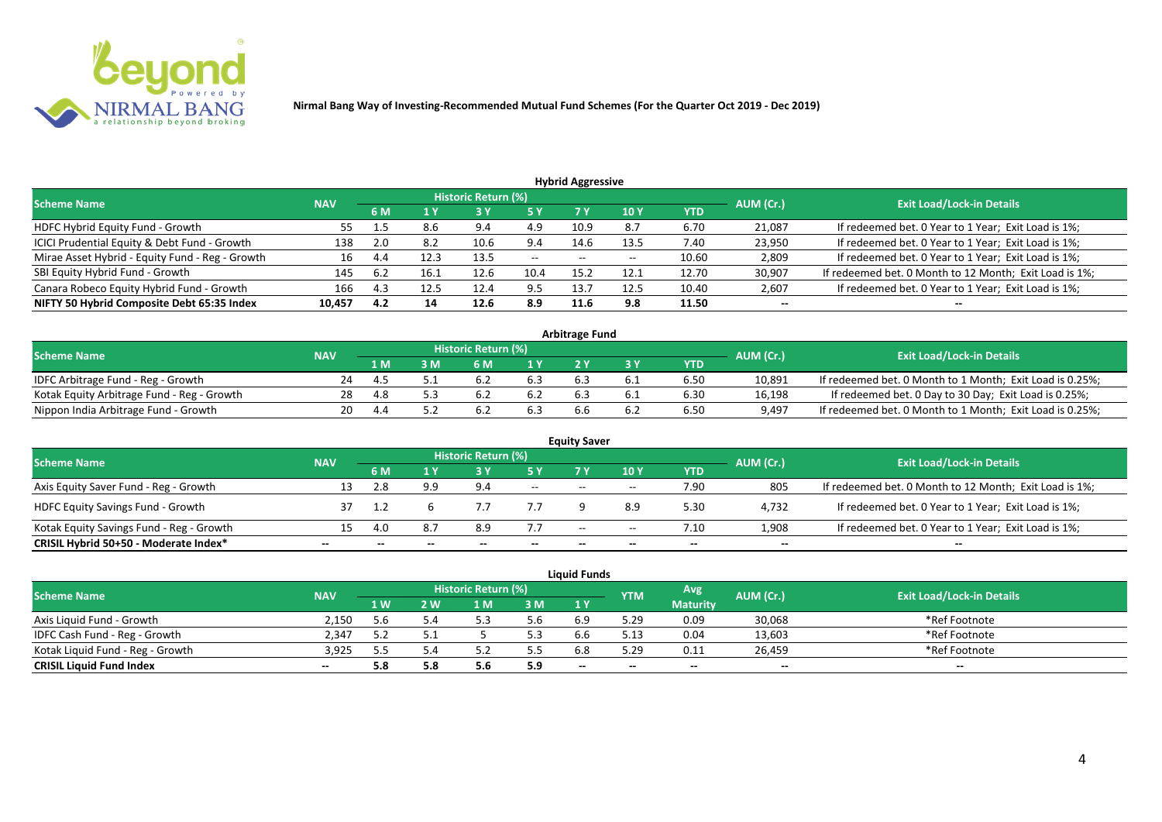

| <b>Hybrid Aggressive</b>                        |            |     |      |                            |       |       |                 |            |           |                                                        |  |  |  |
|-------------------------------------------------|------------|-----|------|----------------------------|-------|-------|-----------------|------------|-----------|--------------------------------------------------------|--|--|--|
| <b>Scheme Name</b>                              | <b>NAV</b> |     |      | <b>Historic Return (%)</b> |       |       |                 |            | AUM (Cr.) | <b>Exit Load/Lock-in Details</b>                       |  |  |  |
|                                                 |            | 6 M | 1 Y  |                            | 5 Y   | 7١    | 10 <sub>1</sub> | <b>YTD</b> |           |                                                        |  |  |  |
| HDFC Hybrid Equity Fund - Growth                | 55         |     | 8.6  | 9.4                        | 4.9   | 10.9  | 8.7             | 6.70       | 21,087    | If redeemed bet. 0 Year to 1 Year; Exit Load is 1%;    |  |  |  |
| ICICI Prudential Equity & Debt Fund - Growth    | 138        | 2.0 | 8.2  | 10.6                       | 9.4   | 14.6  | 13.5            | 7.40       | 23,950    | If redeemed bet. 0 Year to 1 Year; Exit Load is 1%;    |  |  |  |
| Mirae Asset Hybrid - Equity Fund - Reg - Growth | 16         | 4.4 | 12.3 | 13.5                       | $- -$ | $- -$ | --              | 10.60      | 2,809     | If redeemed bet. 0 Year to 1 Year; Exit Load is 1%;    |  |  |  |
| SBI Equity Hybrid Fund - Growth                 | 145        | 6.2 | 16.1 | 12.6                       | 10.4  | 15.2  | 12.1            | 12.70      | 30,907    | If redeemed bet. 0 Month to 12 Month; Exit Load is 1%; |  |  |  |
| Canara Robeco Equity Hybrid Fund - Growth       | 166        | 4.3 | 12.5 | 12.4                       | 9.5   | 13.7  | 12.5            | 10.40      | 2,607     | If redeemed bet. 0 Year to 1 Year; Exit Load is 1%;    |  |  |  |
| NIFTY 50 Hybrid Composite Debt 65:35 Index      | 10,457     | 4.2 | 14   | 12.6                       | 8.9   | 11.6  | 9.8             | 11.50      | $- -$     | $- -$                                                  |  |  |  |

| <b>Arbitrage Fund</b>                      |            |     |   |                            |     |  |  |            |           |                                                          |  |  |  |
|--------------------------------------------|------------|-----|---|----------------------------|-----|--|--|------------|-----------|----------------------------------------------------------|--|--|--|
| <b>Scheme Name</b>                         | <b>NAV</b> |     |   | <b>Historic Return (%)</b> |     |  |  |            | AUM (Cr.) | <b>Exit Load/Lock-in Details</b>                         |  |  |  |
|                                            |            | 1 M | M | ና M                        | 1 V |  |  | <b>YTD</b> |           |                                                          |  |  |  |
| IDFC Arbitrage Fund - Reg - Growth         | 24         |     |   |                            | 6.3 |  |  | 6.50       | 10,891    | If redeemed bet. 0 Month to 1 Month; Exit Load is 0.25%; |  |  |  |
| Kotak Equity Arbitrage Fund - Reg - Growth | 28         |     |   |                            |     |  |  | 6.30       | 16,198    | If redeemed bet. 0 Day to 30 Day; Exit Load is 0.25%;    |  |  |  |
| Nippon India Arbitrage Fund - Growth       | 20.        |     |   |                            | 6.3 |  |  | 6.50       | 9,497     | If redeemed bet. 0 Month to 1 Month; Exit Load is 0.25%; |  |  |  |

|                                          |            |     |     |                     |        | <b>Equity Saver</b>      |       |            |           |                                                        |
|------------------------------------------|------------|-----|-----|---------------------|--------|--------------------------|-------|------------|-----------|--------------------------------------------------------|
| <b>Scheme Name</b>                       | <b>NAV</b> |     |     | Historic Return (%) |        |                          |       |            | AUM (Cr.) | <b>Exit Load/Lock-in Details</b>                       |
|                                          |            | 6 M |     |                     |        |                          | 10Y   | <b>YTD</b> |           |                                                        |
| Axis Equity Saver Fund - Reg - Growth    |            |     | a a | 9.4                 | $\sim$ | $\overline{\phantom{a}}$ | $-$   | 7.90       | 805       | If redeemed bet. 0 Month to 12 Month; Exit Load is 1%; |
| <b>HDFC Equity Savings Fund - Growth</b> |            |     |     |                     |        |                          |       | 5.30       | 4,732     | If redeemed bet. 0 Year to 1 Year; Exit Load is 1%;    |
| Kotak Equity Savings Fund - Reg - Growth |            |     | 8.7 | 8.9                 | 7.7    | $\overline{\phantom{a}}$ | $- -$ | 7.10       | 1,908     | If redeemed bet. 0 Year to 1 Year; Exit Load is 1%;    |
| CRISIL Hybrid 50+50 - Moderate Index*    | --         |     |     | --                  | --     | --                       | $- -$ |            | $- -$     | $- -$                                                  |

|                                  |            |            |     |                            |     | <b>Liquid Funds</b> |            |                 |           |                                  |
|----------------------------------|------------|------------|-----|----------------------------|-----|---------------------|------------|-----------------|-----------|----------------------------------|
| <b>Scheme Name</b>               | <b>NAV</b> |            |     | <b>Historic Return (%)</b> |     |                     | <b>YTM</b> | Avg             | AUM (Cr.) | <b>Exit Load/Lock-in Details</b> |
|                                  |            | <b>1 W</b> | 2 W | 1 M                        | 3M  | 1 Y                 |            | <b>Maturity</b> |           |                                  |
| Axis Liquid Fund - Growth        | 2.150      |            |     |                            | 5.6 | 6.9                 | 5.29       | 0.09            | 30,068    | *Ref Footnote                    |
| IDFC Cash Fund - Reg - Growth    | 2.347      |            |     |                            | 5.3 |                     |            | 0.04            | 13,603    | *Ref Footnote                    |
| Kotak Liquid Fund - Reg - Growth | 3,925      |            |     | ے . ر                      | 5.5 |                     | 5.29       | 0.11            | 26,459    | *Ref Footnote                    |
| <b>CRISIL Liquid Fund Index</b>  | $- -$      | 5.8        |     | 5.0                        | 5.9 | $- -$               | $- -$      | $- -$           | $- -$     | $\overline{\phantom{a}}$         |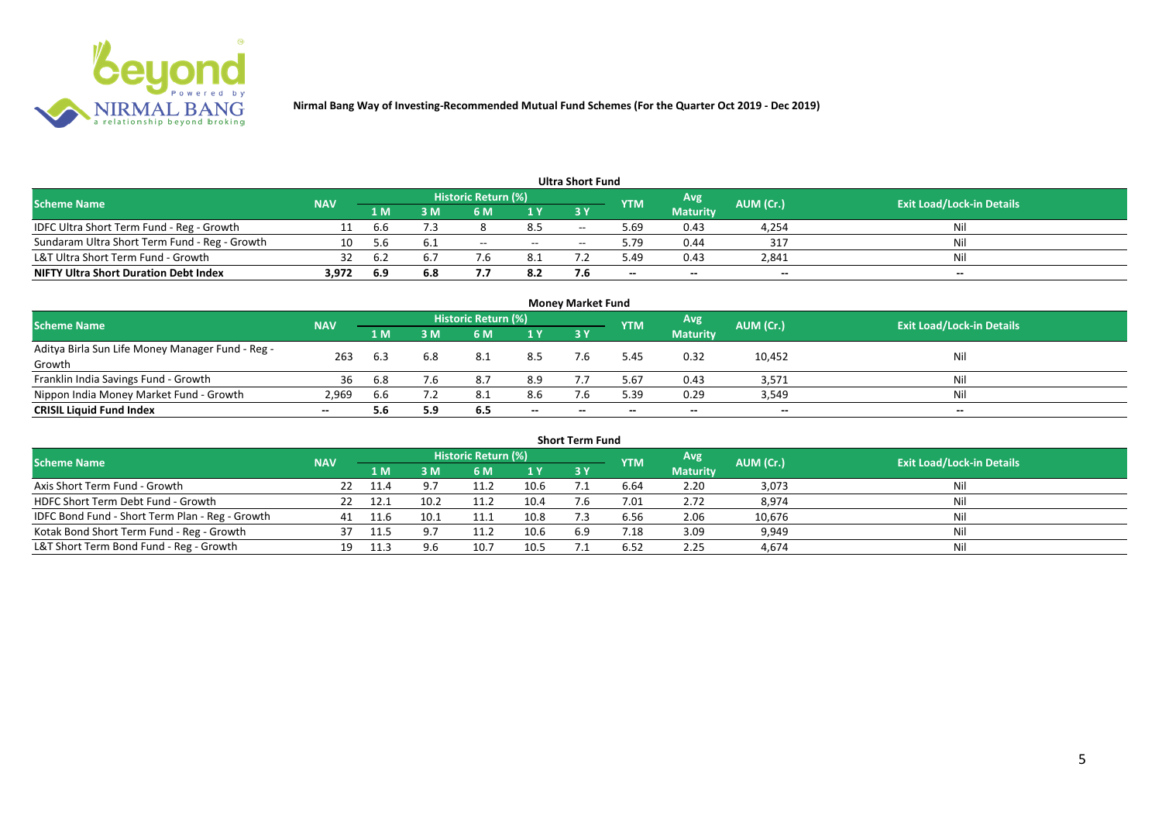

| <b>Ultra Short Fund</b>                       |            |     |     |                            |       |       |            |                 |           |                                  |  |  |  |  |
|-----------------------------------------------|------------|-----|-----|----------------------------|-------|-------|------------|-----------------|-----------|----------------------------------|--|--|--|--|
| <b>Scheme Name</b>                            | <b>NAV</b> |     |     | <b>Historic Return (%)</b> |       |       | <b>YTM</b> | Avg             | AUM (Cr.) | <b>Exit Load/Lock-in Details</b> |  |  |  |  |
|                                               |            | 1 M | : M | 6 M                        | 1 Y   | 73 Y  |            | <b>Maturity</b> |           |                                  |  |  |  |  |
| IDFC Ultra Short Term Fund - Reg - Growth     |            | b.b |     |                            | 8.5   | $- -$ | 69.د       | 0.43            | 4,254     | Nil                              |  |  |  |  |
| Sundaram Ultra Short Term Fund - Reg - Growth | 10         | 5.6 | 6.1 | $-$                        | $- -$ | $-$   | 9.79       | 0.44            | 317       | Nil                              |  |  |  |  |
| L&T Ultra Short Term Fund - Growth            | 32         | 6.2 | 6.7 |                            | 8.1   |       | 49.د       | 0.43            | 2,841     | Nil                              |  |  |  |  |
| <b>NIFTY Ultra Short Duration Debt Index</b>  | 3,972      | 6.9 | 6.8 | , , ,                      | 8.2   |       | $- -$      | $- -$           | $-$       | $- -$                            |  |  |  |  |

| <b>Money Market Fund</b>                                   |            |                |     |                     |       |       |            |                 |           |                                  |  |  |  |
|------------------------------------------------------------|------------|----------------|-----|---------------------|-------|-------|------------|-----------------|-----------|----------------------------------|--|--|--|
| <b>Scheme Name</b>                                         | <b>NAV</b> |                |     | Historic Return (%) |       |       | <b>YTM</b> | Avg             | AUM (Cr.) | <b>Exit Load/Lock-in Details</b> |  |  |  |
|                                                            |            | 1 <sub>M</sub> | MК  | 6 M                 | 1Y    | -3 Y  |            | <b>Maturity</b> |           |                                  |  |  |  |
| Aditya Birla Sun Life Money Manager Fund - Reg -<br>Growth | 263        | 6.3            | 6.8 | 8.1                 | 8.5   |       | 5.45       | 0.32            | 10,452    | Nil                              |  |  |  |
| Franklin India Savings Fund - Growth                       | 36         | 6.8            | 7.6 | 8.7                 | 8.9   |       | 5.67       | 0.43            | 3,571     | Nil                              |  |  |  |
| Nippon India Money Market Fund - Growth                    | 2,969      | b.b            |     |                     | 8.6   |       | 5.39       | 0.29            | 3,549     | Nil                              |  |  |  |
| <b>CRISIL Liquid Fund Index</b>                            | $- -$      | 5.6            | 5.9 | 6.5                 | $- -$ | $- -$ | $- -$      | $- -$           | $- -$     | $- -$                            |  |  |  |

| <b>Short Term Fund</b>                          |            |        |      |                     |      |     |                |                 |           |                                  |  |  |  |
|-------------------------------------------------|------------|--------|------|---------------------|------|-----|----------------|-----------------|-----------|----------------------------------|--|--|--|
| <b>Scheme Name</b>                              | <b>NAV</b> |        |      | Historic Return (%) |      |     | <b>YTM</b>     | Avg.            | AUM (Cr.) | <b>Exit Load/Lock-in Details</b> |  |  |  |
|                                                 |            | 1 M    | 3 M  | <b>6M</b>           | 1Y   | 3 Y |                | <b>Maturity</b> |           |                                  |  |  |  |
| Axis Short Term Fund - Growth                   | 22         | - 11.4 |      | 11.2                | 10.6 |     | 6.64           | 2.20            | 3,073     | <b>Nil</b>                       |  |  |  |
| HDFC Short Term Debt Fund - Growth              |            | 12.1   | 10.2 | 11.2                | 10.4 |     | 7.01           | 2.72            | 8,974     | Nil                              |  |  |  |
| IDFC Bond Fund - Short Term Plan - Reg - Growth | 41         | 11.6   | 10.1 | 11.1                | 10.8 |     | 6.56           | 2.06            | 10,676    | <b>Nil</b>                       |  |  |  |
| Kotak Bond Short Term Fund - Reg - Growth       | 37         | 11.5   |      | 11.2                | 10.6 | 6.9 | $^{\prime}.18$ | 3.09            | 9,949     | <b>Nil</b>                       |  |  |  |
| L&T Short Term Bond Fund - Reg - Growth         | 19         |        | 9.6  | 10.7                | 10.5 |     | 6.52           | 2.25            | 4,674     | Nil                              |  |  |  |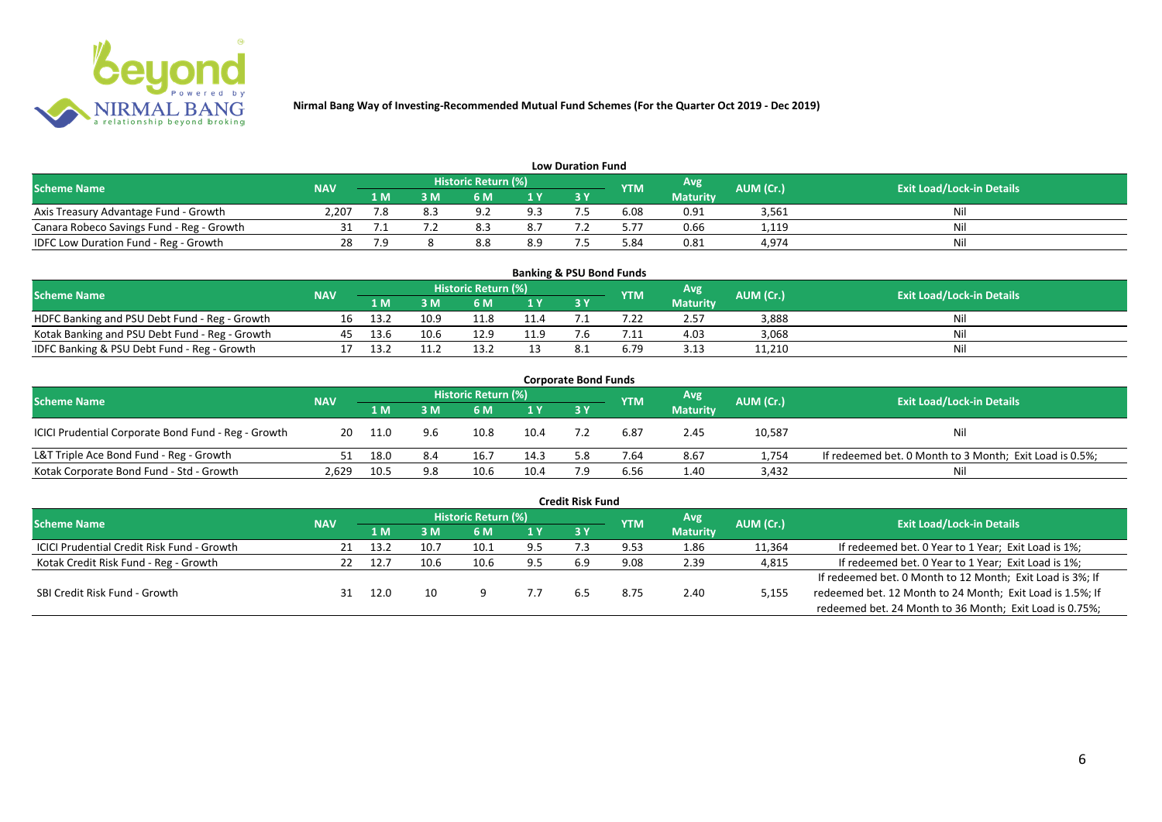

| <b>Low Duration Fund</b>                  |            |     |     |                            |     |      |            |                 |           |                                  |  |  |  |
|-------------------------------------------|------------|-----|-----|----------------------------|-----|------|------------|-----------------|-----------|----------------------------------|--|--|--|
| <b>Scheme Name</b>                        | <b>NAV</b> |     |     | <b>Historic Return (%)</b> |     |      | <b>YTM</b> | Avg             | AUM (Cr.) | <b>Exit Load/Lock-in Details</b> |  |  |  |
|                                           |            | 1 M | 3 M |                            | 1Y  | 73 Y |            | <b>Maturity</b> |           |                                  |  |  |  |
| Axis Treasury Advantage Fund - Growth     | 2.207      | 7.8 |     | റാ                         | 9.3 |      | 6.08       | 0.91            | 3,561     | Ni                               |  |  |  |
| Canara Robeco Savings Fund - Reg - Growth |            |     |     |                            | 8.7 |      | 5.77       | 0.66            | 1,119     | Nil                              |  |  |  |
| IDFC Low Duration Fund - Reg - Growth     |            | 7.9 |     | ه.ه                        | 8.9 |      | 84.د       | 0.81            | 4,974     | Nil                              |  |  |  |

| <b>Banking &amp; PSU Bond Funds</b>            |            |      |      |                            |      |           |            |                 |           |                                  |  |  |  |
|------------------------------------------------|------------|------|------|----------------------------|------|-----------|------------|-----------------|-----------|----------------------------------|--|--|--|
| <b>Scheme Name</b>                             | <b>NAV</b> |      |      | <b>Historic Return (%)</b> |      |           | <b>YTM</b> | Avg             | AUM (Cr.) | <b>Exit Load/Lock-in Details</b> |  |  |  |
|                                                |            | 1 M  |      | 6 M                        |      | <b>3Y</b> |            | <b>Maturity</b> |           |                                  |  |  |  |
| HDFC Banking and PSU Debt Fund - Reg - Growth  | 16         | 13.2 | 10.9 |                            | 11.4 |           |            | 2.57            | 3,888     | Nil                              |  |  |  |
| Kotak Banking and PSU Debt Fund - Reg - Growth | 45         | 13.6 | 10.6 | 12.9                       | 11.9 |           |            | 4.03            | 3,068     | Nil                              |  |  |  |
| IDFC Banking & PSU Debt Fund - Reg - Growth    |            | 13.2 |      |                            |      |           | 6.79       | 3.13            | 11,210    | Nil                              |  |  |  |

| <b>Corporate Bond Funds</b>                         |            |      |     |                            |                |     |            |                 |           |                                                         |  |  |  |
|-----------------------------------------------------|------------|------|-----|----------------------------|----------------|-----|------------|-----------------|-----------|---------------------------------------------------------|--|--|--|
| <b>Scheme Name</b>                                  | <b>NAV</b> |      |     | <b>Historic Return (%)</b> |                |     | <b>YTM</b> | Avg             | AUM (Cr.) | <b>Exit Load/Lock-in Details</b>                        |  |  |  |
|                                                     |            | 1 M  | : M | 6 M                        | 1 <sup>Y</sup> | 3 Y |            | <b>Maturity</b> |           |                                                         |  |  |  |
| ICICI Prudential Corporate Bond Fund - Reg - Growth | 20         | 11.0 | 9.6 | 10.8                       | 10.4           |     | 6.87       | 2.45            | 10,587    | <b>Nil</b>                                              |  |  |  |
| L&T Triple Ace Bond Fund - Reg - Growth             |            | 18.0 | 8.4 | 16.7                       | 14.3           | 5.8 | 7.64       | 8.67            | 1,754     | If redeemed bet. 0 Month to 3 Month; Exit Load is 0.5%; |  |  |  |
| Kotak Corporate Bond Fund - Std - Growth            | 2,629      | 10.5 | 9.8 | 10.6                       | 10.4           |     | 6.56       | 1.40            | 3,432     | Nil                                                     |  |  |  |

|                                                   |            |       |      |                            |     | <b>Credit Risk Fund</b> |            |                 |           |                                                           |
|---------------------------------------------------|------------|-------|------|----------------------------|-----|-------------------------|------------|-----------------|-----------|-----------------------------------------------------------|
| <b>Scheme Name</b>                                | <b>NAV</b> |       |      | <b>Historic Return (%)</b> |     |                         | <b>YTM</b> | Avg.            | AUM (Cr.) | <b>Exit Load/Lock-in Details</b>                          |
|                                                   |            | 1 M   | 3 M  | 6 M                        | 1 Y | 3 Y                     |            | <b>Maturity</b> |           |                                                           |
| <b>ICICI Prudential Credit Risk Fund - Growth</b> | 21         | -13.2 | 10.7 | 10.1                       | 9.5 |                         | 9.53       | 1.86            | 11,364    | If redeemed bet. 0 Year to 1 Year; Exit Load is 1%;       |
| Kotak Credit Risk Fund - Reg - Growth             |            | 12.7  | 10.6 | 10.6                       | 9.5 | 6.9                     | 9.08       | 2.39            | 4,815     | If redeemed bet. 0 Year to 1 Year; Exit Load is 1%;       |
|                                                   |            |       |      |                            |     |                         |            |                 |           | If redeemed bet. 0 Month to 12 Month; Exit Load is 3%; If |
| SBI Credit Risk Fund - Growth                     |            | 12.0  | 10   |                            |     |                         | 8.75       | 2.40            | 5,155     | redeemed bet. 12 Month to 24 Month; Exit Load is 1.5%; If |
|                                                   |            |       |      |                            |     |                         |            |                 |           | redeemed bet. 24 Month to 36 Month; Exit Load is 0.75%;   |